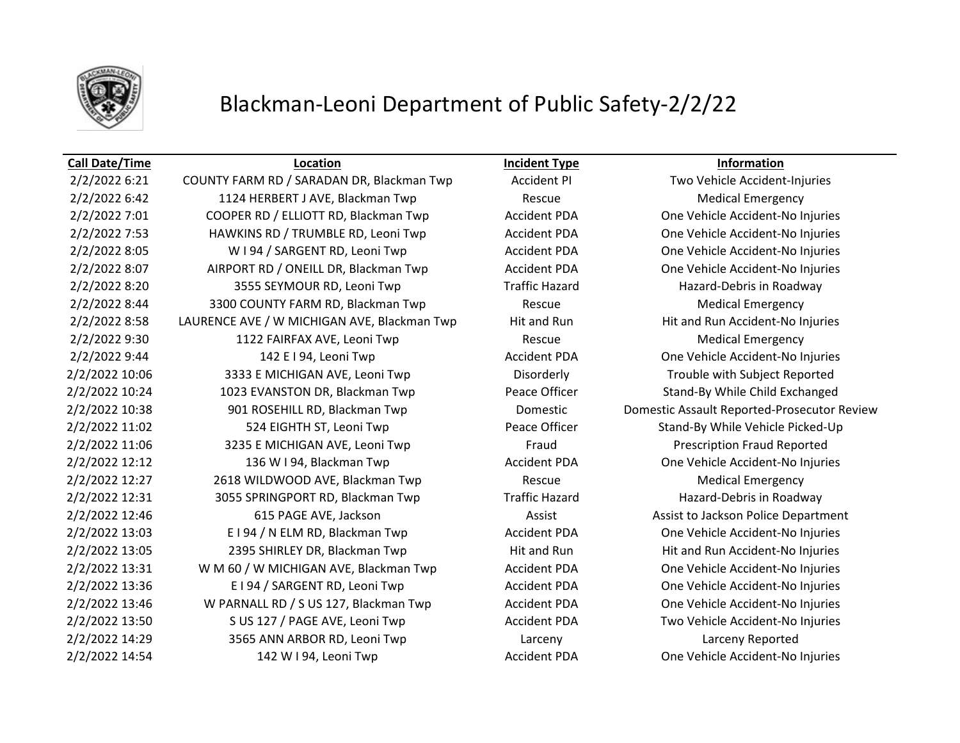

## Blackman-Leoni Department of Public Safety-2/2/22

### **Call Date/Time Location Incident Type Information**

2/2/2022 6:21 COUNTY FARM RD / SARADAN DR, Blackman Twp Accident PI Two Vehicle Accident-Injuries 2/2/2022 6:42 **1124 HERBERT J AVE, Blackman Twp** Rescue Rescue Medical Emergency 2/2/2022 7:01 COOPER RD / ELLIOTT RD, Blackman Twp Accident PDA One Vehicle Accident-No Injuries 2/2/2022 7:53 HAWKINS RD / TRUMBLE RD, Leoni Twp Accident PDA One Vehicle Accident-No Injuries 2/2/2022 8:05 W I 94 / SARGENT RD, Leoni Twp Accident PDA One Vehicle Accident-No Injuries 2/2/2022 8:07 AIRPORT RD / ONEILL DR, Blackman Twp Accident PDA One Vehicle Accident-No Injuries 2/2/2022 8:20 3555 SEYMOUR RD, Leoni Twp Traffic Hazard Hazard-Debris in Roadway 2/2/2022 8:44 3300 COUNTY FARM RD, Blackman Twp Rescue Medical Emergency 2/2/2022 8:58 LAURENCE AVE / W MICHIGAN AVE, Blackman Twp Hit and Run Hit and Run Accident-No Injuries 2/2/2022 9:30 1122 FAIRFAX AVE, Leoni Twp Rescue Medical Emergency 2/2/2022 9:44 142 E I 94, Leoni Twp Accident PDA One Vehicle Accident-No Injuries 2/2/2022 10:06 3333 E MICHIGAN AVE, Leoni Twp Disorderly Trouble with Subject Reported 2/2/2022 10:24 1023 EVANSTON DR, Blackman Twp Peace Officer Stand-By While Child Exchanged 2/2/2022 10:38 901 ROSEHILL RD, Blackman Twp Domestic Domestic Assault Reported-Prosecutor Review 2/2/2022 11:02 524 EIGHTH ST, Leoni Twp Peace Officer Stand-By While Vehicle Picked-Up 2/2/2022 11:06 3235 E MICHIGAN AVE, Leoni Twp Fraud Fraud Prescription Fraud Reported 2/2/2022 12:12 136 W I 94, Blackman Twp Accident PDA One Vehicle Accident-No Injuries 2/2/2022 12:27 2618 WILDWOOD AVE, Blackman Twp Rescue Medical Emergency 2/2/2022 12:31 3055 SPRINGPORT RD, Blackman Twp Traffic Hazard Hazard-Debris in Roadway 2/2/2022 12:46 615 PAGE AVE, Jackson Assist Assist to Jackson Police Department 2/2/2022 13:03 E I 94 / N ELM RD, Blackman Twp **Accident PDA** One Vehicle Accident-No Injuries 2/2/2022 13:05 2395 SHIRLEY DR, Blackman Twp Hit and Run Hit and Run Hit and Run Accident-No Injuries 2/2/2022 13:31 W M 60 / W MICHIGAN AVE, Blackman Twp Accident PDA One Vehicle Accident-No Injuries 2/2/2022 13:36 E I 94 / SARGENT RD, Leoni Twp Accident PDA One Vehicle Accident-No Injuries 2/2/2022 13:46 W PARNALL RD / S US 127, Blackman Twp Accident PDA One Vehicle Accident-No Injuries 2/2/2022 13:50 S US 127 / PAGE AVE, Leoni Twp Accident PDA Two Vehicle Accident-No Injuries 2/2/2022 14:29 3565 ANN ARBOR RD, Leoni Twp Larceny Larceny Reported 2/2/2022 14:54 142 W I 94, Leoni Twp Accident PDA One Vehicle Accident-No Injuries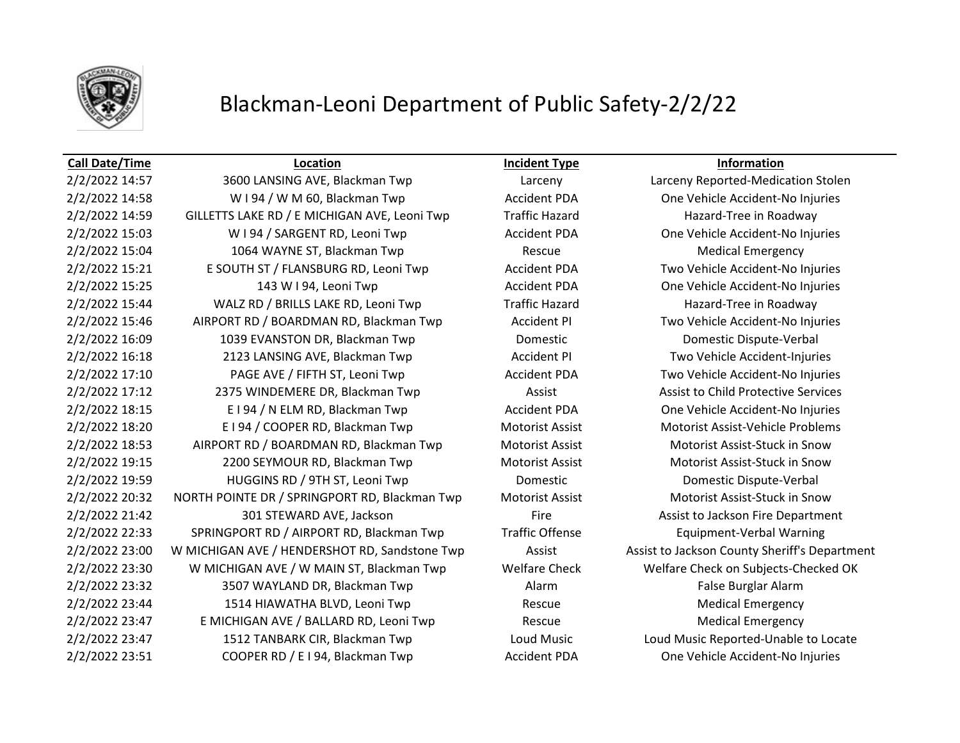

## Blackman-Leoni Department of Public Safety-2/2/22

### **Call Date/Time Location Incident Type Information**

2/2/2022 14:58 WI 94 / W M 60, Blackman Twp **Accident PDA** One Vehicle Accident-No Injuries 2/2/2022 14:59 GILLETTS LAKE RD / E MICHIGAN AVE, Leoni Twp Traffic Hazard Hazard Hazard-Tree in Roadway 2/2/2022 15:03 W I 94 / SARGENT RD, Leoni Twp Accident PDA One Vehicle Accident-No Injuries 2/2/2022 15:04 1064 WAYNE ST, Blackman Twp Rescue Medical Emergency 2/2/2022 15:21 E SOUTH ST / FLANSBURG RD, Leoni Twp Accident PDA Two Vehicle Accident-No Injuries 2/2/2022 15:25 143 W I 94, Leoni Twp Accident PDA One Vehicle Accident-No Injuries 2/2/2022 15:44 WALZ RD / BRILLS LAKE RD, Leoni Twp Traffic Hazard Hazard Hazard-Tree in Roadway 2/2/2022 15:46 AIRPORT RD / BOARDMAN RD, Blackman Twp Accident PI Two Vehicle Accident-No Injuries 2/2/2022 16:09 1039 EVANSTON DR, Blackman Twp Domestic Domestic Dispute-Verbal 2/2/2022 16:18 2123 LANSING AVE, Blackman Twp Accident PI Two Vehicle Accident-Injuries 2/2/2022 17:10 PAGE AVE / FIFTH ST, Leoni Twp Accident PDA Two Vehicle Accident-No Injuries 2/2/2022 17:12 2375 WINDEMERE DR, Blackman Twp **Assist Assist Assist to Child Protective Services** 2/2/2022 18:15 E I 94 / N ELM RD, Blackman Twp **Accident PDA** One Vehicle Accident-No Injuries 2/2/2022 18:20 E I 94 / COOPER RD, Blackman Twp Motorist Assist Motorist Assist-Vehicle Problems 2/2/2022 18:53 AIRPORT RD / BOARDMAN RD, Blackman Twp Motorist Assist Motorist Assist-Stuck in Snow 2/2/2022 19:15 2200 SEYMOUR RD, Blackman Twp Motorist Assist Motorist Assist-Stuck in Snow 2/2/2022 19:59 HUGGINS RD / 9TH ST, Leoni Twp Domestic Domestic Dispute-Verbal 2/2/2022 20:32 NORTH POINTE DR / SPRINGPORT RD, Blackman Twp Motorist Assist Motorist Assist-Stuck in Snow 2/2/2022 21:42 301 STEWARD AVE, Jackson **Fire** Fire **Assist to Jackson Fire Department** 2/2/2022 22:33 SPRINGPORT RD / AIRPORT RD, Blackman Twp Traffic Offense Equipment-Verbal Warning 2/2/2022 23:00 W MICHIGAN AVE / HENDERSHOT RD, Sandstone Twp Assist Assist Assist to Jackson County Sheriff's Department 2/2/2022 23:30 W MICHIGAN AVE / W MAIN ST, Blackman Twp Welfare Check Welfare Check on Subjects-Checked OK 2/2/2022 23:32 3507 WAYLAND DR, Blackman Twp **Alarm Alarm False Burglar Alarm** False Burglar Alarm 2/2/2022 23:44 1514 HIAWATHA BLVD, Leoni Twp Rescue Medical Emergency 2/2/2022 23:47 E MICHIGAN AVE / BALLARD RD, Leoni Twp Rescue Medical Emergency 2/2/2022 23:47 1512 TANBARK CIR, Blackman Twp Loud Music Loud Music Reported-Unable to Locate 2/2/2022 23:51 COOPER RD / E I 94, Blackman Twp Accident PDA One Vehicle Accident-No Injuries

2/2/2022 14:57 3600 LANSING AVE, Blackman Twp Larceny Larceny Reported-Medication Stolen